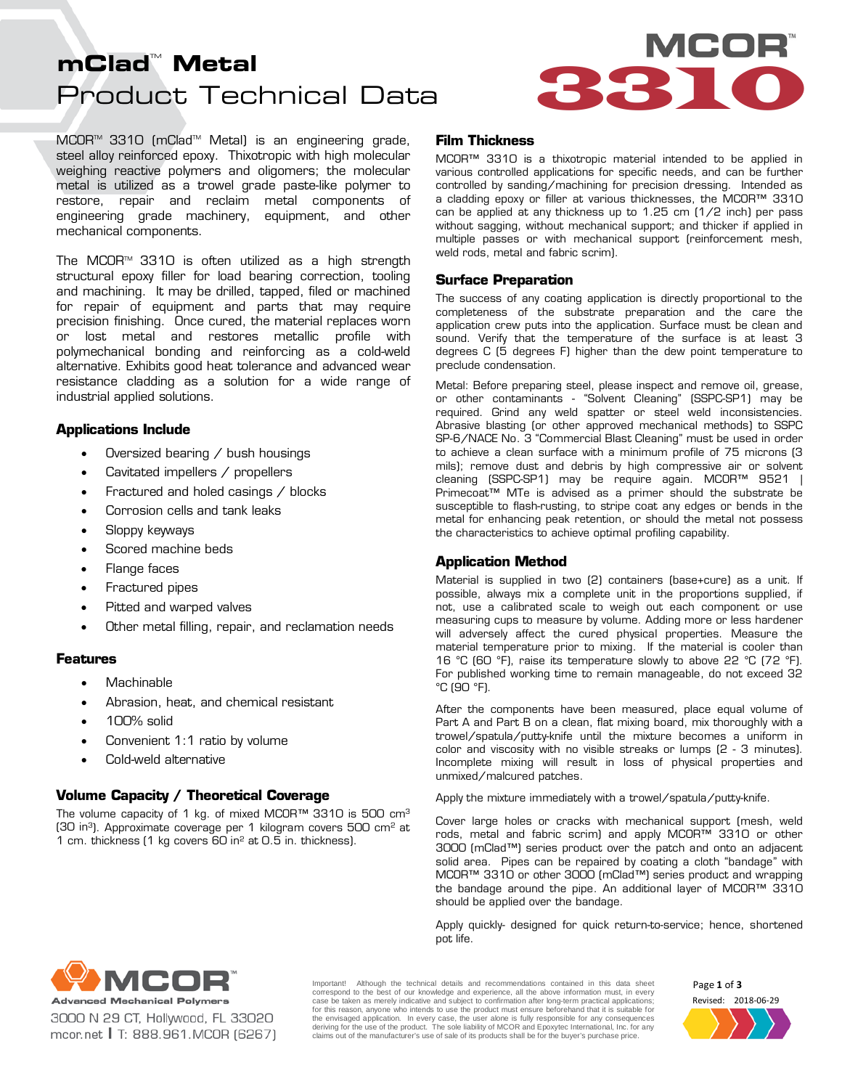# Product Technical Data **mClad™ Metal**



MCOR<sup>™</sup> 3310 (mClad<sup>™</sup> Metal) is an engineering grade, steel alloy reinforced epoxy. Thixotropic with high molecular weighing reactive polymers and oligomers; the molecular metal is utilized as a trowel grade paste-like polymer to restore, repair and reclaim metal components of engineering grade machinery, equipment, and other mechanical components.

The MCOR<sup> $M$ </sup> 3310 is often utilized as a high strength structural epoxy filler for load bearing correction, tooling and machining. It may be drilled, tapped, filed or machined for repair of equipment and parts that may require precision finishing. Once cured, the material replaces worn or lost metal and restores metallic profile with polymechanical bonding and reinforcing as a cold-weld alternative. Exhibits good heat tolerance and advanced wear resistance cladding as a solution for a wide range of industrial applied solutions.

# **Applications Include**

- Oversized bearing  $\diagup$  bush housings
- Cavitated impellers / propellers
- Fractured and holed casings / blocks
- Corrosion cells and tank leaks
- Sloppy keyways
- Scored machine beds
- Flange faces
- Fractured pipes
- Pitted and warped valves
- Other metal filling, repair, and reclamation needs

# **Features**

- Machinable
- Abrasion, heat, and chemical resistant
- 100% solid
- Convenient 1:1 ratio by volume
- Cold-weld alternative

# **Volume Capacity / Theoretical Coverage**

The volume capacity of 1 kg. of mixed MCOR™ 3310 is 500 cm3 (30 in3). Approximate coverage per 1 kilogram covers 500 cm2 at 1 cm. thickness (1 kg covers 60 in2 at 0.5 in. thickness).

### **Film Thickness**

MCOR™ 3310 is a thixotropic material intended to be applied in various controlled applications for specific needs, and can be further controlled by sanding/machining for precision dressing. Intended as a cladding epoxy or filler at various thicknesses, the MCOR™ 3310 can be applied at any thickness up to 1.25 cm (1/2 inch) per pass without sagging, without mechanical support; and thicker if applied in multiple passes or with mechanical support (reinforcement mesh, weld rods, metal and fabric scrim).

# **Surface Preparation**

The success of any coating application is directly proportional to the completeness of the substrate preparation and the care the application crew puts into the application. Surface must be clean and sound. Verify that the temperature of the surface is at least 3 degrees C (5 degrees F) higher than the dew point temperature to preclude condensation.

Metal: Before preparing steel, please inspect and remove oil, grease, or other contaminants - "Solvent Cleaning" (SSPC-SP1) may be required. Grind any weld spatter or steel weld inconsistencies. Abrasive blasting (or other approved mechanical methods) to SSPC SP-6/NACE No. 3 "Commercial Blast Cleaning" must be used in order to achieve a clean surface with a minimum profile of 75 microns (3 mils); remove dust and debris by high compressive air or solvent cleaning (SSPC-SP1) may be require again. MCOR™ 9521 | Primecoat™ MTe is advised as a primer should the substrate be susceptible to flash-rusting, to stripe coat any edges or bends in the metal for enhancing peak retention, or should the metal not possess the characteristics to achieve optimal profiling capability.

# **Application Method**

Material is supplied in two (2) containers (base+cure) as a unit. If possible, always mix a complete unit in the proportions supplied, if not, use a calibrated scale to weigh out each component or use measuring cups to measure by volume. Adding more or less hardener will adversely affect the cured physical properties. Measure the material temperature prior to mixing. If the material is cooler than 16 °C (60 °F), raise its temperature slowly to above 22 °C (72 °F). For published working time to remain manageable, do not exceed 32  $^{\circ}$ C (90 $^{\circ}$ F).

After the components have been measured, place equal volume of Part A and Part B on a clean, flat mixing board, mix thoroughly with a trowel/spatula/putty-knife until the mixture becomes a uniform in color and viscosity with no visible streaks or lumps (2 - 3 minutes). Incomplete mixing will result in loss of physical properties and unmixed/malcured patches.

Apply the mixture immediately with a trowel/spatula/putty-knife.

Cover large holes or cracks with mechanical support (mesh, weld rods, metal and fabric scrim) and apply MCOR™ 3310 or other 3000 (mClad™) series product over the patch and onto an adjacent solid area. Pipes can be repaired by coating a cloth "bandage" with MCOR™ 3310 or other 3000 (mClad™) series product and wrapping the bandage around the pipe. An additional layer of MCOR™ 3310 should be applied over the bandage.

Apply quickly- designed for quick return-to-service; hence, shortened pot life.



3000 N 29 CT, Hollywood, FL 33020 mcor.net | T: 888.961.MCOR (6267) Important! Although the technical details and recommendations contained in this data sheet correspond to the best of our knowledge and experience, all the above information must, in every case be taken as merely indicative and subject to confirmation after long-term practical applications; for this reason, anyone who intends to use the product must ensure beforehand that it is suitable for the envisaged application. In every case, the user alone is fully responsible for any consequences<br>deriving for the use of the product. The sole liability of MCOR and Epoxytec International, Inc. for any claims out of the manufacturer's use of sale of its products shall be for the buyer's purchase price.

Revised: 2018-06-29 Page **1** of **3**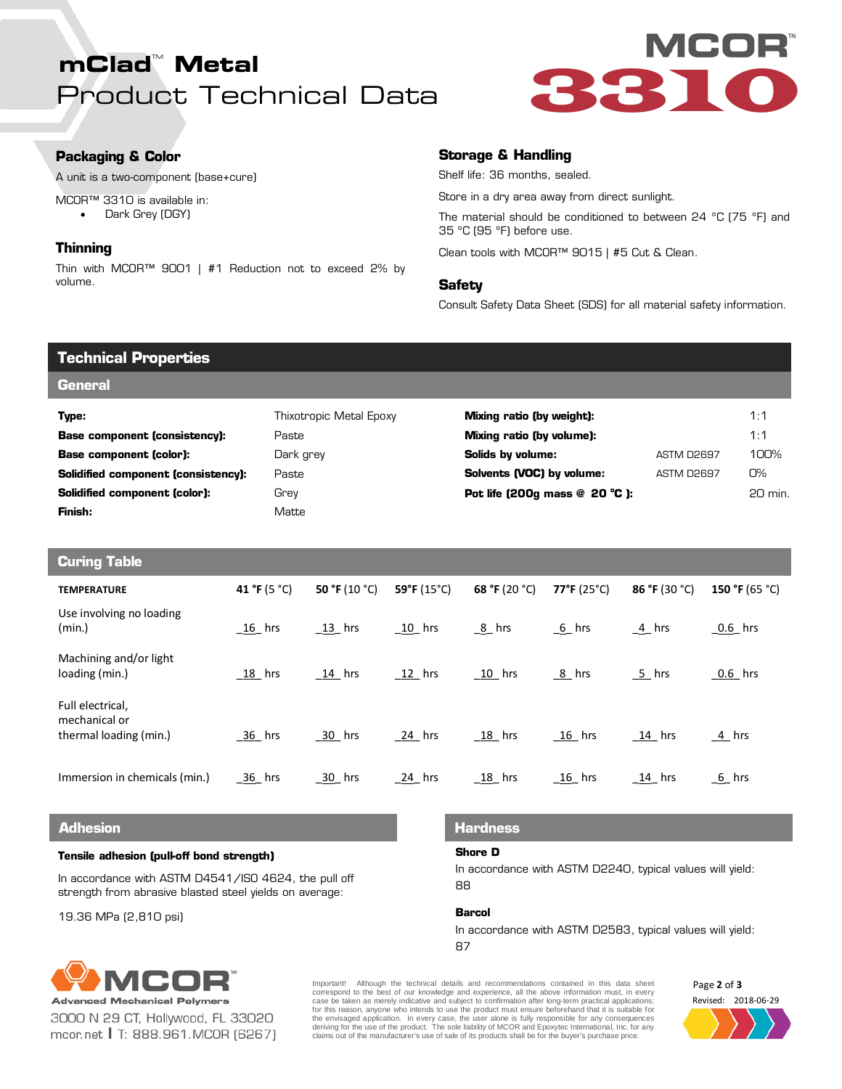# Product Technical Data **mClad™ Metal**



# **Packaging & Color**

A unit is a two-component (base+cure)

- MCOR™ 3310 is available in:
	- Dark Grey (DGY)

# **Thinning**

Thin with MCOR™ 9001 | #1 Reduction not to exceed 2% by volume.

# **Storage & Handling**

Shelf life: 36 months, sealed.

Store in a dry area away from direct sunlight.

The material should be conditioned to between 24 ºC (75 ºF) and 35 ºC (95 ºF) before use.

Clean tools with MCOR™ 9015 | #5 Cut & Clean.

# **Safety**

Consult Safety Data Sheet (SDS) for all material safety information.

| Technical Properties                 |                         |                                    |                   |         |  |  |  |
|--------------------------------------|-------------------------|------------------------------------|-------------------|---------|--|--|--|
| <b>General</b>                       |                         |                                    |                   |         |  |  |  |
| Type:                                | Thixotropic Metal Epoxy | Mixing ratio (by weight):          |                   | 1:1     |  |  |  |
| <b>Base component (consistency):</b> | Paste                   | Mixing ratio (by volume):          |                   | 1:1     |  |  |  |
| <b>Base component (color):</b>       | Dark grey               | Solids by volume:                  | ASTM D2697        | 100%    |  |  |  |
| Solidified component (consistency):  | Paste                   | Solvents (VOC) by volume:          | <b>ASTM D2697</b> | O%      |  |  |  |
| Solidified component (color):        | Grey                    | Pot life (200q mass $@$ 20 $°C$ ): |                   | 20 min. |  |  |  |
| Finish:                              | Matte                   |                                    |                   |         |  |  |  |
|                                      |                         |                                    |                   |         |  |  |  |
| ______                               |                         |                                    |                   |         |  |  |  |

| <b>Curing Table</b> |                                                             |                      |               |                      |                      |                      |               |                |
|---------------------|-------------------------------------------------------------|----------------------|---------------|----------------------|----------------------|----------------------|---------------|----------------|
|                     | <b>TEMPERATURE</b>                                          | 41 °F (5 °C)         | 50 °F (10 °C) | 59°F $(15^{\circ}C)$ | 68 °F (20 °C)        | 77°F (25°C)          | 86 °F (30 °C) | 150 °F (65 °C) |
|                     | Use involving no loading<br>(min.)                          | $\underline{16}$ hrs | $13$ hrs      | $\underline{10}$ hrs | $8$ hrs              | $6$ hrs              | 4 hrs         | $0.6$ hrs      |
|                     | Machining and/or light<br>loading (min.)                    | 18 hrs               | $14$ hrs      | $12$ hrs             | $\underline{10}$ hrs | $8$ hrs              | 5 hrs         | $0.6$ hrs      |
|                     | Full electrical,<br>mechanical or<br>thermal loading (min.) | 36 hrs               | 30 hrs        | $24$ hrs             | $18$ hrs             | $\underline{16}$ hrs | <u>14</u> hrs | $4$ hrs        |
|                     | Immersion in chemicals (min.)                               | $-36$ hrs            | 30 hrs        | $24$ hrs             | $18$ hrs             | $16$ hrs             | $14$ hrs      | 6 hrs          |

### **Adhesion**

### **Tensile adhesion (pull-off bond strength)**

In accordance with ASTM D4541/ISO 4624, the pull off strength from abrasive blasted steel yields on average:

19.36 MPa (2,810 psi)

# **Hardness**

### **Shore D**

In accordance with ASTM D2240, typical values will yield: 88

### **Barcol**

In accordance with ASTM D2583, typical values will yield: 87



3000 N 29 CT, Hollywood, FL 33020 mcor.net | T: 888.961.MCOR (6267) Important! Although the technical details and recommendations contained in this data sheet correspond to the best of our knowledge and experience, all the above information must, in every case be taken as merely indicative and subject to confirmation after long-term practical applications; for this reason, anyone who intends to use the product must ensure beforehand that it is suitable for the envisaged application. In every case, the user alone is fully responsible for any consequences<br>deriving for the use of the product. The sole liability of MCOR and Epoxytec International, Inc. for any claims out of the manufacturer's use of sale of its products shall be for the buyer's purchase price.

Revised: 2018-06-29 Page **2** of **3**